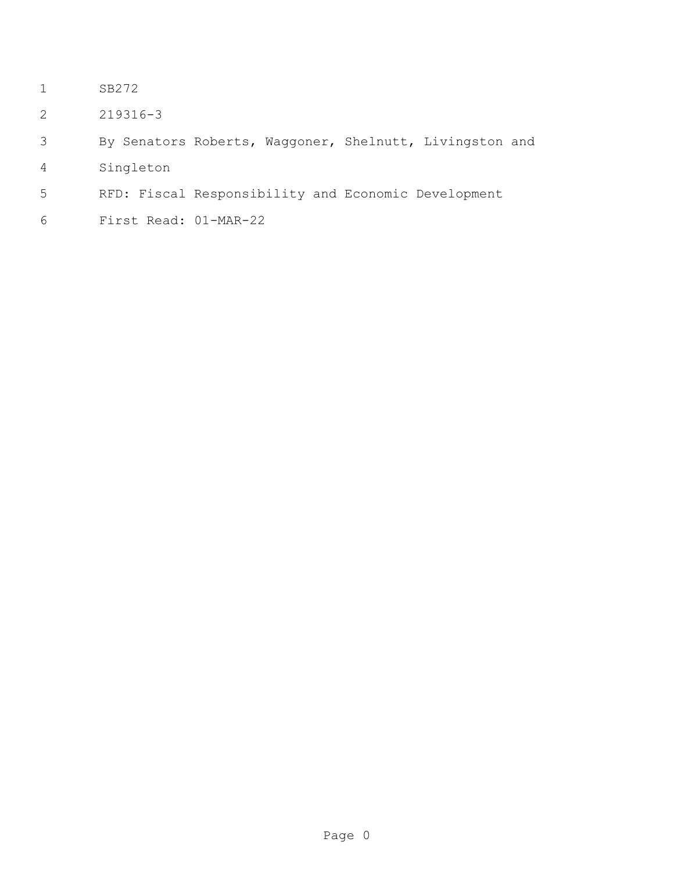- SB272
- 219316-3
- By Senators Roberts, Waggoner, Shelnutt, Livingston and
- Singleton
- RFD: Fiscal Responsibility and Economic Development
- First Read: 01-MAR-22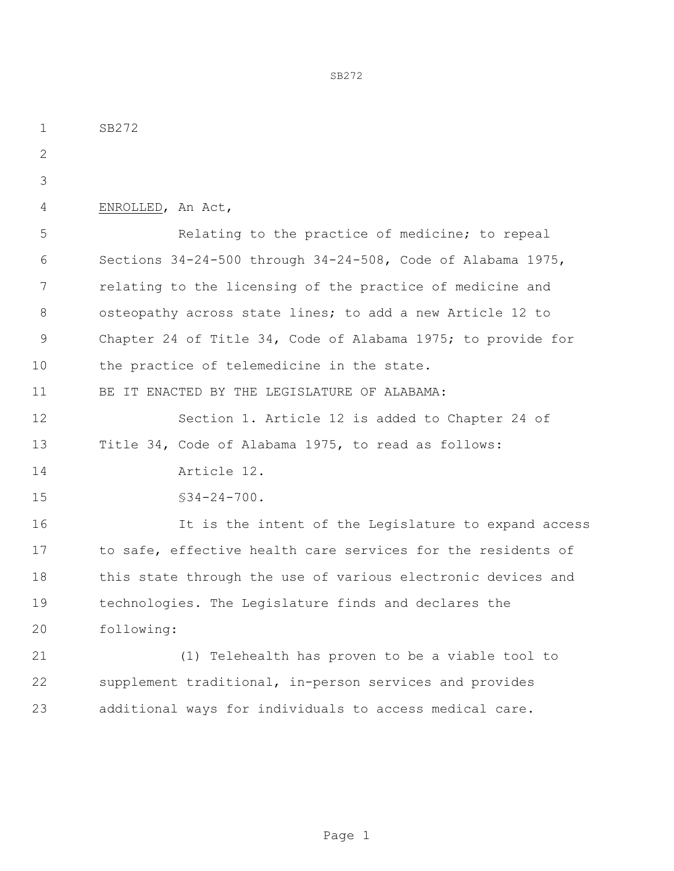SB272 ENROLLED, An Act, Relating to the practice of medicine; to repeal Sections 34-24-500 through 34-24-508, Code of Alabama 1975, relating to the licensing of the practice of medicine and osteopathy across state lines; to add a new Article 12 to Chapter 24 of Title 34, Code of Alabama 1975; to provide for 10 the practice of telemedicine in the state. 11 BE IT ENACTED BY THE LEGISLATURE OF ALABAMA: Section 1. Article 12 is added to Chapter 24 of Title 34, Code of Alabama 1975, to read as follows: Article 12. 15 §34-24-700. 16 16 It is the intent of the Legislature to expand access to safe, effective health care services for the residents of this state through the use of various electronic devices and technologies. The Legislature finds and declares the following: (1) Telehealth has proven to be a viable tool to supplement traditional, in-person services and provides additional ways for individuals to access medical care.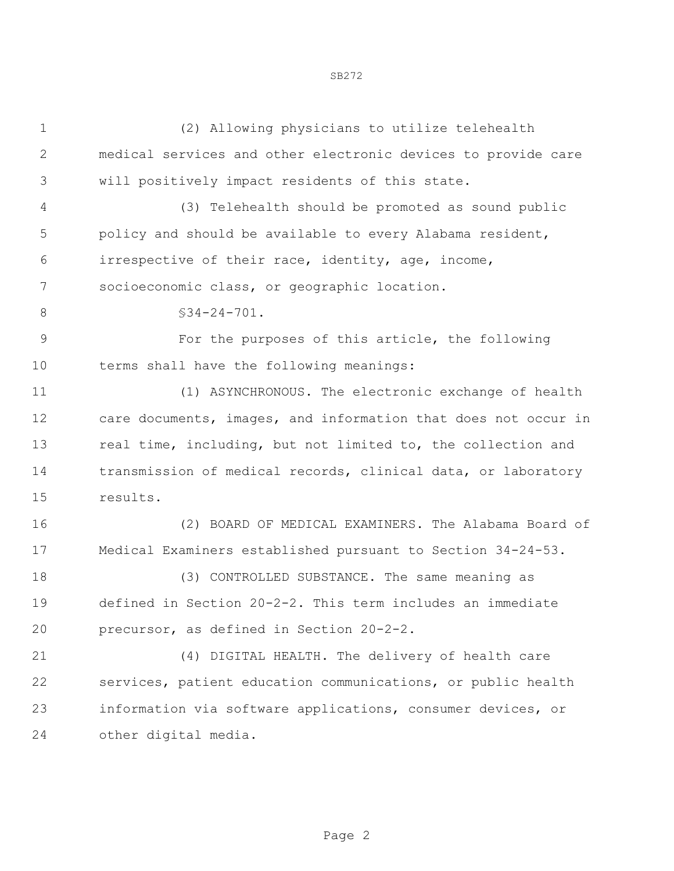| $\mathbf 1$    | (2) Allowing physicians to utilize telehealth                  |
|----------------|----------------------------------------------------------------|
| 2              | medical services and other electronic devices to provide care  |
| 3              | will positively impact residents of this state.                |
| 4              | (3) Telehealth should be promoted as sound public              |
| 5              | policy and should be available to every Alabama resident,      |
| 6              | irrespective of their race, identity, age, income,             |
| 7              | socioeconomic class, or geographic location.                   |
| 8              | $$34-24-701.$                                                  |
| $\overline{9}$ | For the purposes of this article, the following                |
| 10             | terms shall have the following meanings:                       |
| 11             | (1) ASYNCHRONOUS. The electronic exchange of health            |
| 12             | care documents, images, and information that does not occur in |
| 13             | real time, including, but not limited to, the collection and   |
| 14             | transmission of medical records, clinical data, or laboratory  |
| 15             | results.                                                       |
| 16             | (2) BOARD OF MEDICAL EXAMINERS. The Alabama Board of           |
| 17             | Medical Examiners established pursuant to Section 34-24-53.    |
| 18             | (3) CONTROLLED SUBSTANCE. The same meaning as                  |
| 19             | defined in Section 20-2-2. This term includes an immediate     |
| 20             | precursor, as defined in Section 20-2-2.                       |
| 21             | (4) DIGITAL HEALTH. The delivery of health care                |
| 22             | services, patient education communications, or public health   |
| 23             | information via software applications, consumer devices, or    |
| 24             | other digital media.                                           |
|                |                                                                |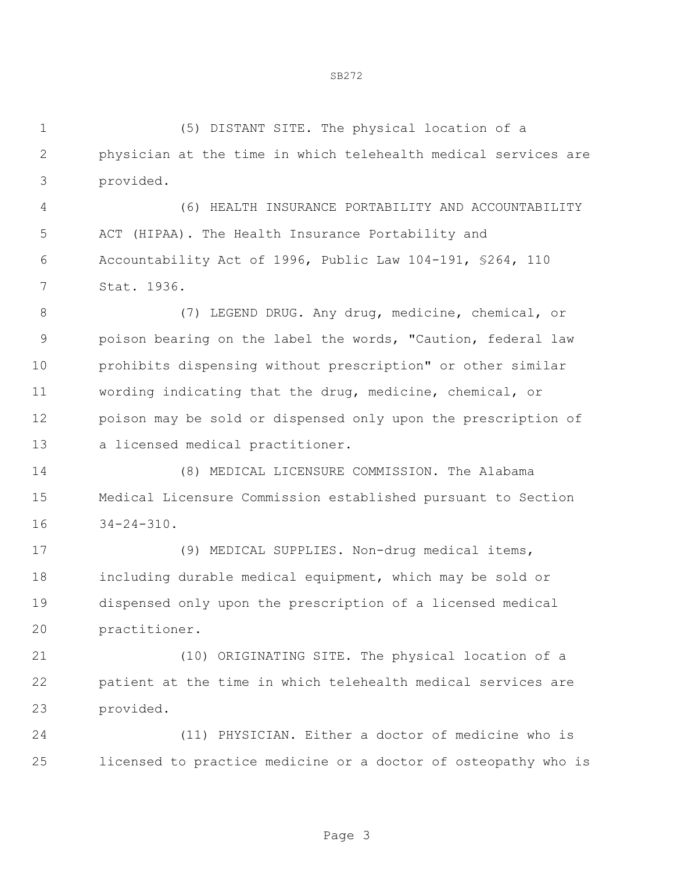(5) DISTANT SITE. The physical location of a physician at the time in which telehealth medical services are provided.

 (6) HEALTH INSURANCE PORTABILITY AND ACCOUNTABILITY ACT (HIPAA). The Health Insurance Portability and Accountability Act of 1996, Public Law 104-191, §264, 110 Stat. 1936.

 (7) LEGEND DRUG. Any drug, medicine, chemical, or poison bearing on the label the words, "Caution, federal law prohibits dispensing without prescription" or other similar wording indicating that the drug, medicine, chemical, or poison may be sold or dispensed only upon the prescription of a licensed medical practitioner.

 (8) MEDICAL LICENSURE COMMISSION. The Alabama Medical Licensure Commission established pursuant to Section 34-24-310.

 (9) MEDICAL SUPPLIES. Non-drug medical items, including durable medical equipment, which may be sold or dispensed only upon the prescription of a licensed medical practitioner.

 (10) ORIGINATING SITE. The physical location of a patient at the time in which telehealth medical services are provided.

 (11) PHYSICIAN. Either a doctor of medicine who is licensed to practice medicine or a doctor of osteopathy who is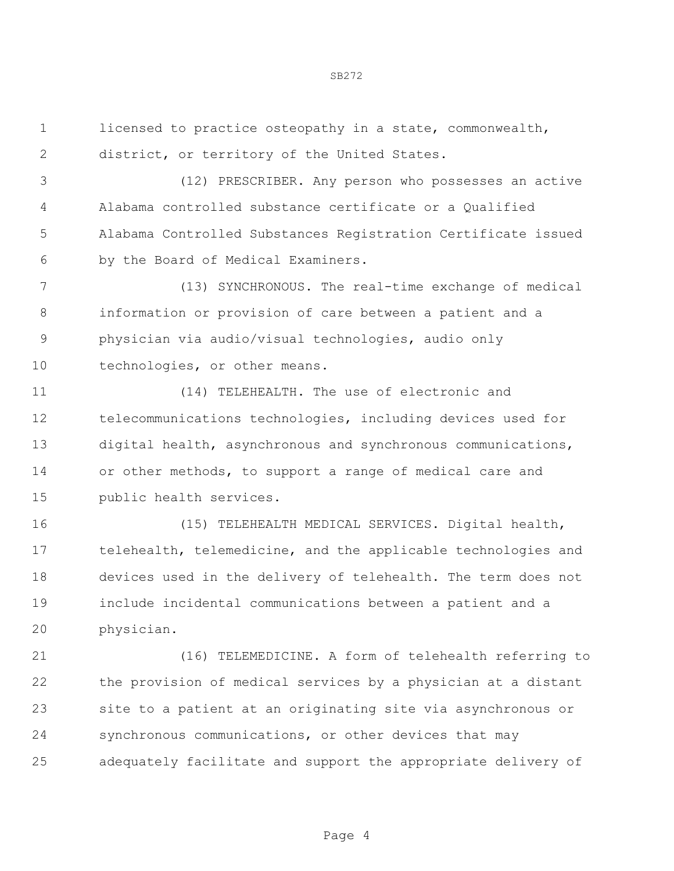licensed to practice osteopathy in a state, commonwealth, district, or territory of the United States.

 (12) PRESCRIBER. Any person who possesses an active Alabama controlled substance certificate or a Qualified Alabama Controlled Substances Registration Certificate issued by the Board of Medical Examiners.

 (13) SYNCHRONOUS. The real-time exchange of medical information or provision of care between a patient and a physician via audio/visual technologies, audio only technologies, or other means.

 (14) TELEHEALTH. The use of electronic and telecommunications technologies, including devices used for digital health, asynchronous and synchronous communications, or other methods, to support a range of medical care and public health services.

 (15) TELEHEALTH MEDICAL SERVICES. Digital health, telehealth, telemedicine, and the applicable technologies and devices used in the delivery of telehealth. The term does not include incidental communications between a patient and a physician.

 (16) TELEMEDICINE. A form of telehealth referring to the provision of medical services by a physician at a distant site to a patient at an originating site via asynchronous or synchronous communications, or other devices that may adequately facilitate and support the appropriate delivery of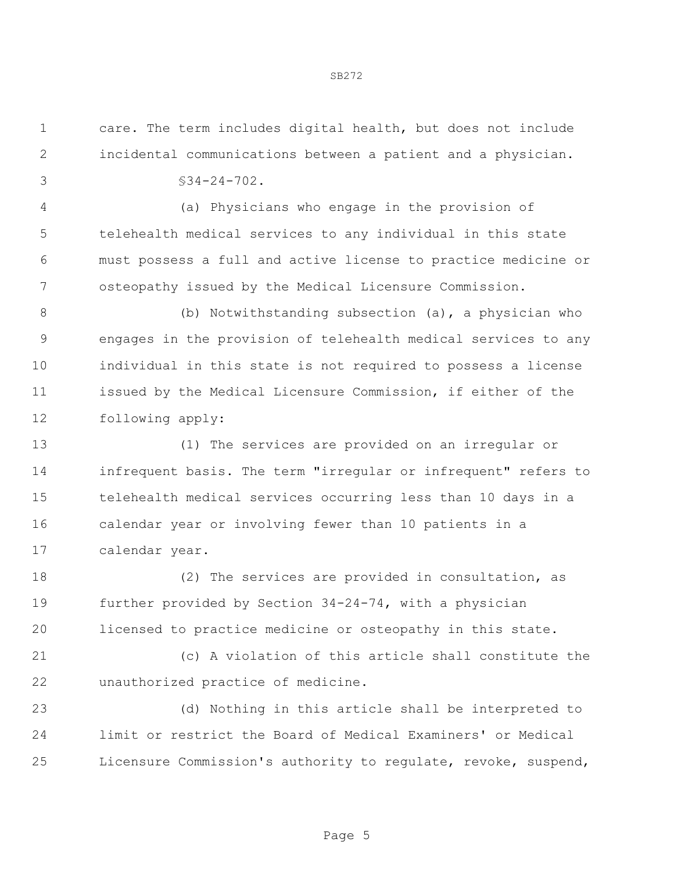care. The term includes digital health, but does not include incidental communications between a patient and a physician.

 $\sqrt{34-24-702}$ .

 (a) Physicians who engage in the provision of telehealth medical services to any individual in this state must possess a full and active license to practice medicine or osteopathy issued by the Medical Licensure Commission.

 (b) Notwithstanding subsection (a), a physician who engages in the provision of telehealth medical services to any individual in this state is not required to possess a license issued by the Medical Licensure Commission, if either of the following apply:

 (1) The services are provided on an irregular or infrequent basis. The term "irregular or infrequent" refers to telehealth medical services occurring less than 10 days in a calendar year or involving fewer than 10 patients in a calendar year.

 (2) The services are provided in consultation, as further provided by Section 34-24-74, with a physician licensed to practice medicine or osteopathy in this state.

 (c) A violation of this article shall constitute the unauthorized practice of medicine.

 (d) Nothing in this article shall be interpreted to limit or restrict the Board of Medical Examiners' or Medical Licensure Commission's authority to regulate, revoke, suspend,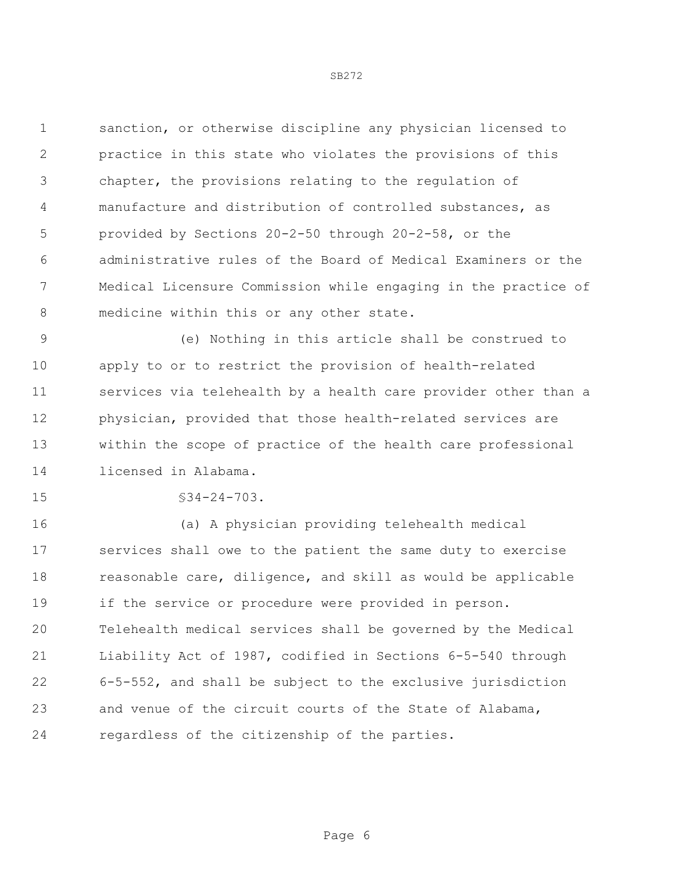sanction, or otherwise discipline any physician licensed to practice in this state who violates the provisions of this chapter, the provisions relating to the regulation of manufacture and distribution of controlled substances, as provided by Sections 20-2-50 through 20-2-58, or the administrative rules of the Board of Medical Examiners or the Medical Licensure Commission while engaging in the practice of 8 medicine within this or any other state.

 (e) Nothing in this article shall be construed to apply to or to restrict the provision of health-related services via telehealth by a health care provider other than a physician, provided that those health-related services are within the scope of practice of the health care professional licensed in Alabama.

15 §34-24-703.

 (a) A physician providing telehealth medical services shall owe to the patient the same duty to exercise 18 reasonable care, diligence, and skill as would be applicable if the service or procedure were provided in person. Telehealth medical services shall be governed by the Medical Liability Act of 1987, codified in Sections 6-5-540 through 6-5-552, and shall be subject to the exclusive jurisdiction and venue of the circuit courts of the State of Alabama, regardless of the citizenship of the parties.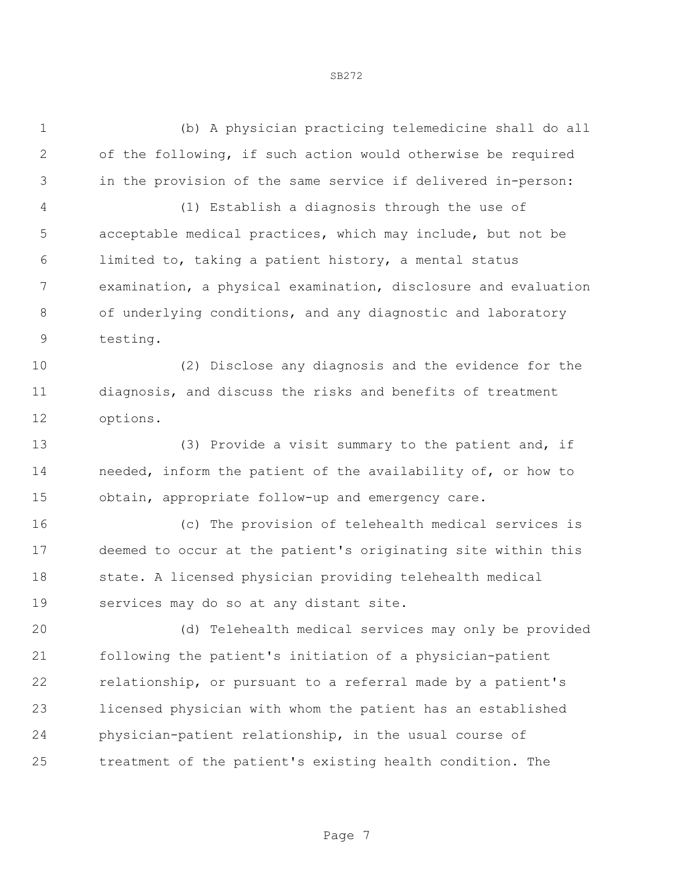(b) A physician practicing telemedicine shall do all of the following, if such action would otherwise be required in the provision of the same service if delivered in-person:

 (1) Establish a diagnosis through the use of acceptable medical practices, which may include, but not be limited to, taking a patient history, a mental status examination, a physical examination, disclosure and evaluation of underlying conditions, and any diagnostic and laboratory testing.

 (2) Disclose any diagnosis and the evidence for the diagnosis, and discuss the risks and benefits of treatment options.

 (3) Provide a visit summary to the patient and, if needed, inform the patient of the availability of, or how to obtain, appropriate follow-up and emergency care.

 (c) The provision of telehealth medical services is deemed to occur at the patient's originating site within this state. A licensed physician providing telehealth medical services may do so at any distant site.

 (d) Telehealth medical services may only be provided following the patient's initiation of a physician-patient relationship, or pursuant to a referral made by a patient's licensed physician with whom the patient has an established physician-patient relationship, in the usual course of treatment of the patient's existing health condition. The

Page 7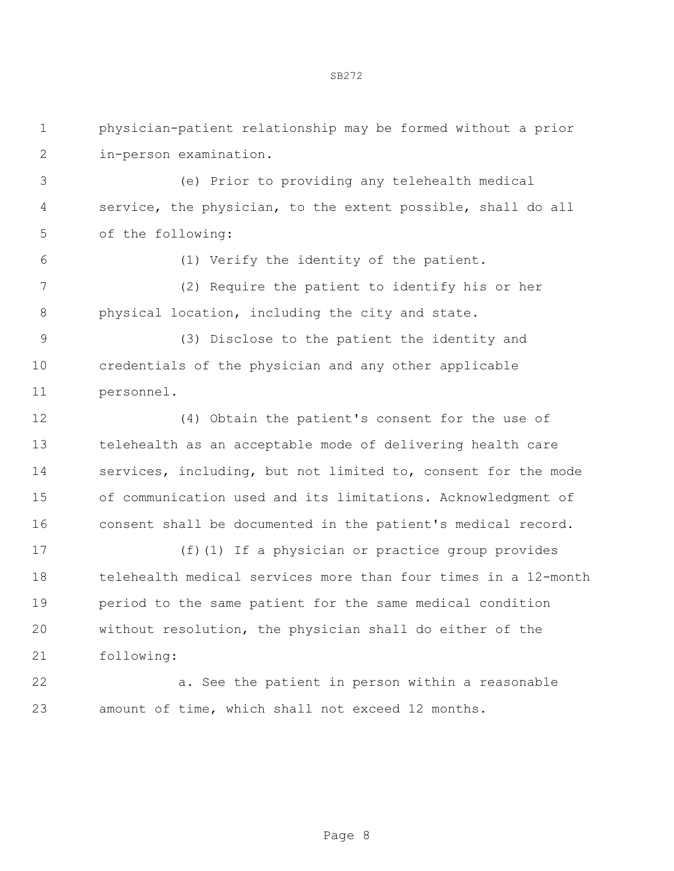physician-patient relationship may be formed without a prior in-person examination.

 (e) Prior to providing any telehealth medical service, the physician, to the extent possible, shall do all of the following:

(1) Verify the identity of the patient.

 (2) Require the patient to identify his or her physical location, including the city and state.

 (3) Disclose to the patient the identity and credentials of the physician and any other applicable personnel.

 (4) Obtain the patient's consent for the use of telehealth as an acceptable mode of delivering health care services, including, but not limited to, consent for the mode of communication used and its limitations. Acknowledgment of consent shall be documented in the patient's medical record.

 (f)(1) If a physician or practice group provides telehealth medical services more than four times in a 12-month period to the same patient for the same medical condition without resolution, the physician shall do either of the following:

 a. See the patient in person within a reasonable amount of time, which shall not exceed 12 months.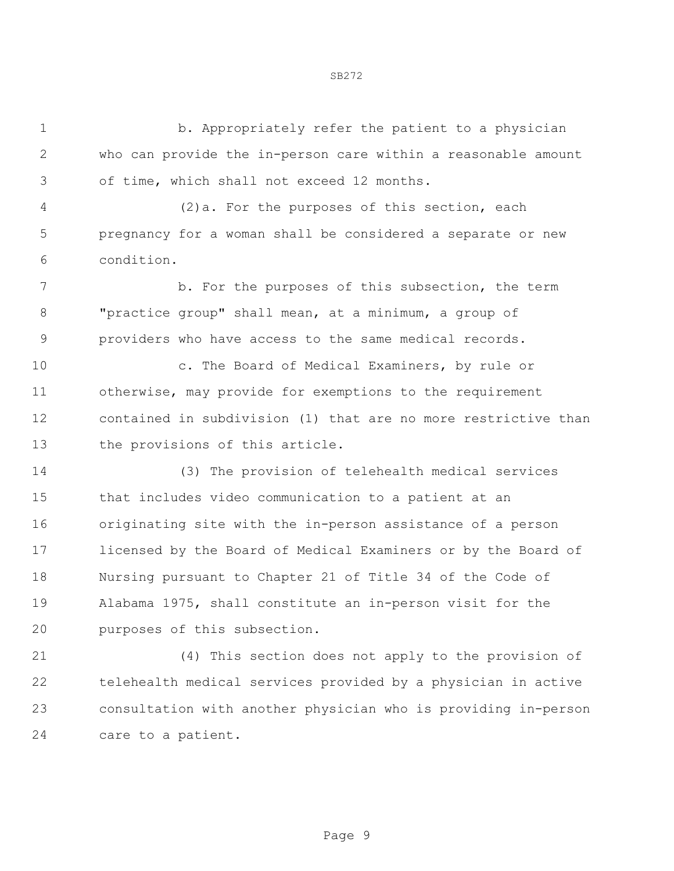1 b. Appropriately refer the patient to a physician who can provide the in-person care within a reasonable amount of time, which shall not exceed 12 months. (2)a. For the purposes of this section, each pregnancy for a woman shall be considered a separate or new condition. 7 b. For the purposes of this subsection, the term "practice group" shall mean, at a minimum, a group of providers who have access to the same medical records. c. The Board of Medical Examiners, by rule or otherwise, may provide for exemptions to the requirement contained in subdivision (1) that are no more restrictive than the provisions of this article. (3) The provision of telehealth medical services that includes video communication to a patient at an originating site with the in-person assistance of a person licensed by the Board of Medical Examiners or by the Board of Nursing pursuant to Chapter 21 of Title 34 of the Code of Alabama 1975, shall constitute an in-person visit for the purposes of this subsection. (4) This section does not apply to the provision of

 telehealth medical services provided by a physician in active consultation with another physician who is providing in-person care to a patient.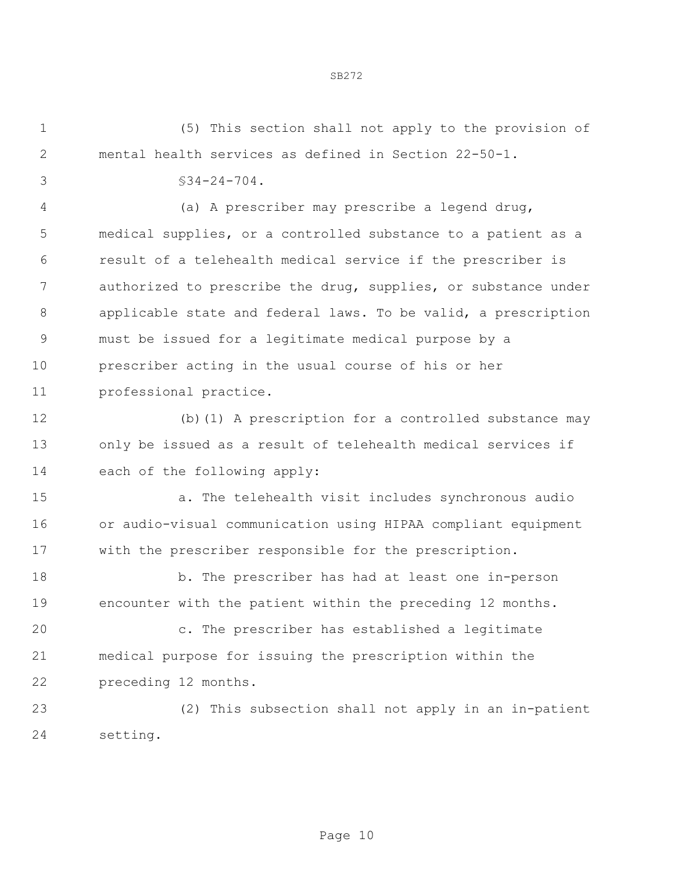(5) This section shall not apply to the provision of mental health services as defined in Section 22-50-1.

 $$34-24-704.$ 

 (a) A prescriber may prescribe a legend drug, medical supplies, or a controlled substance to a patient as a result of a telehealth medical service if the prescriber is authorized to prescribe the drug, supplies, or substance under applicable state and federal laws. To be valid, a prescription must be issued for a legitimate medical purpose by a prescriber acting in the usual course of his or her professional practice.

 (b)(1) A prescription for a controlled substance may only be issued as a result of telehealth medical services if each of the following apply:

 a. The telehealth visit includes synchronous audio or audio-visual communication using HIPAA compliant equipment with the prescriber responsible for the prescription.

 b. The prescriber has had at least one in-person encounter with the patient within the preceding 12 months.

 c. The prescriber has established a legitimate medical purpose for issuing the prescription within the preceding 12 months.

 (2) This subsection shall not apply in an in-patient setting.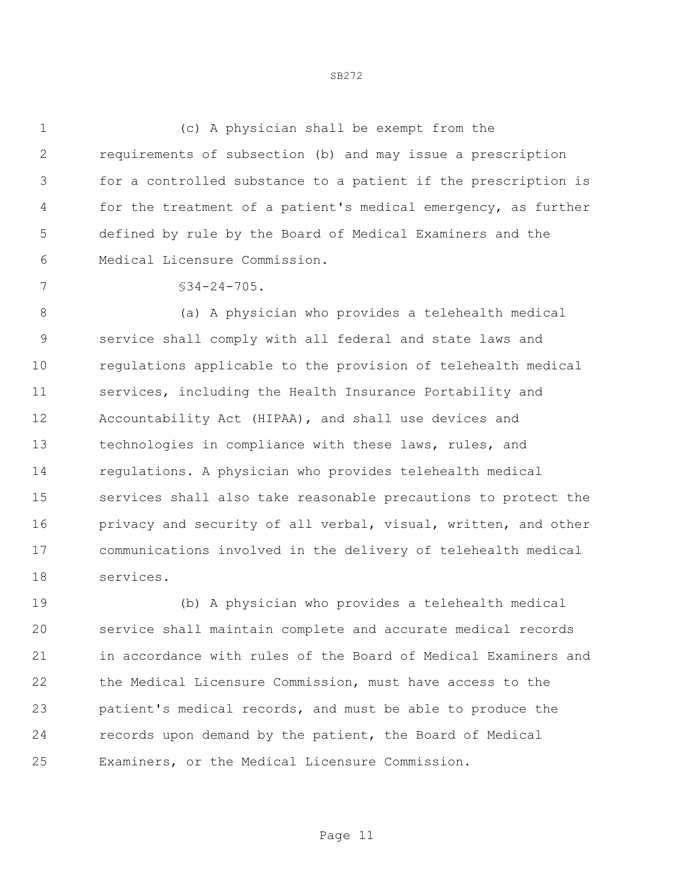(c) A physician shall be exempt from the requirements of subsection (b) and may issue a prescription for a controlled substance to a patient if the prescription is for the treatment of a patient's medical emergency, as further defined by rule by the Board of Medical Examiners and the Medical Licensure Commission.

7 §34-24-705.

8 (a) A physician who provides a telehealth medical service shall comply with all federal and state laws and regulations applicable to the provision of telehealth medical services, including the Health Insurance Portability and Accountability Act (HIPAA), and shall use devices and technologies in compliance with these laws, rules, and regulations. A physician who provides telehealth medical services shall also take reasonable precautions to protect the 16 privacy and security of all verbal, visual, written, and other communications involved in the delivery of telehealth medical services.

 (b) A physician who provides a telehealth medical service shall maintain complete and accurate medical records in accordance with rules of the Board of Medical Examiners and the Medical Licensure Commission, must have access to the patient's medical records, and must be able to produce the records upon demand by the patient, the Board of Medical Examiners, or the Medical Licensure Commission.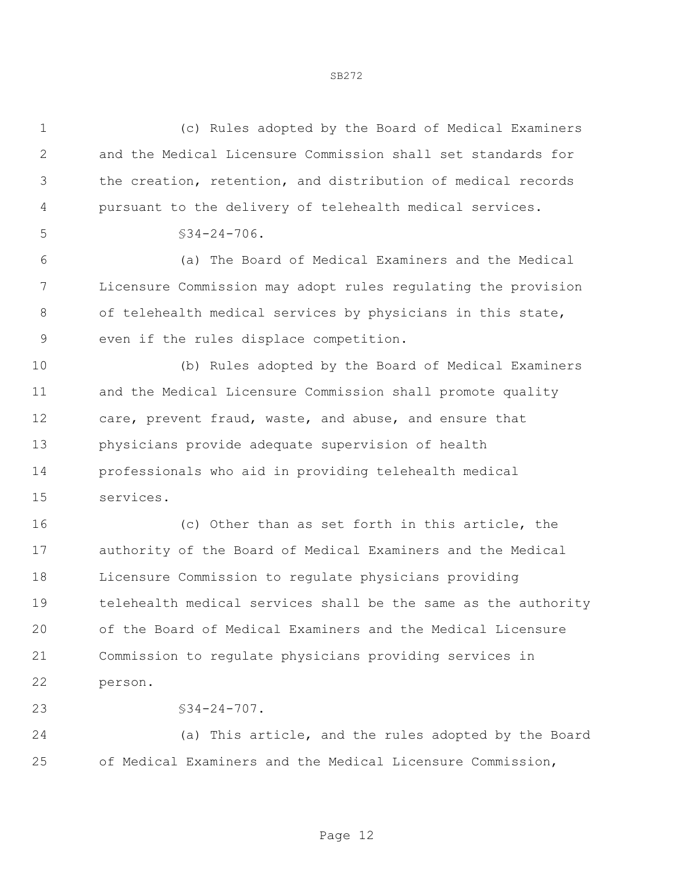(c) Rules adopted by the Board of Medical Examiners and the Medical Licensure Commission shall set standards for the creation, retention, and distribution of medical records pursuant to the delivery of telehealth medical services.  $5 \times 34 - 24 - 706$ . (a) The Board of Medical Examiners and the Medical Licensure Commission may adopt rules regulating the provision 8 of telehealth medical services by physicians in this state, even if the rules displace competition. (b) Rules adopted by the Board of Medical Examiners and the Medical Licensure Commission shall promote quality care, prevent fraud, waste, and abuse, and ensure that physicians provide adequate supervision of health professionals who aid in providing telehealth medical services. (c) Other than as set forth in this article, the authority of the Board of Medical Examiners and the Medical Licensure Commission to regulate physicians providing telehealth medical services shall be the same as the authority of the Board of Medical Examiners and the Medical Licensure Commission to regulate physicians providing services in person. 23 §34-24-707.

 (a) This article, and the rules adopted by the Board of Medical Examiners and the Medical Licensure Commission,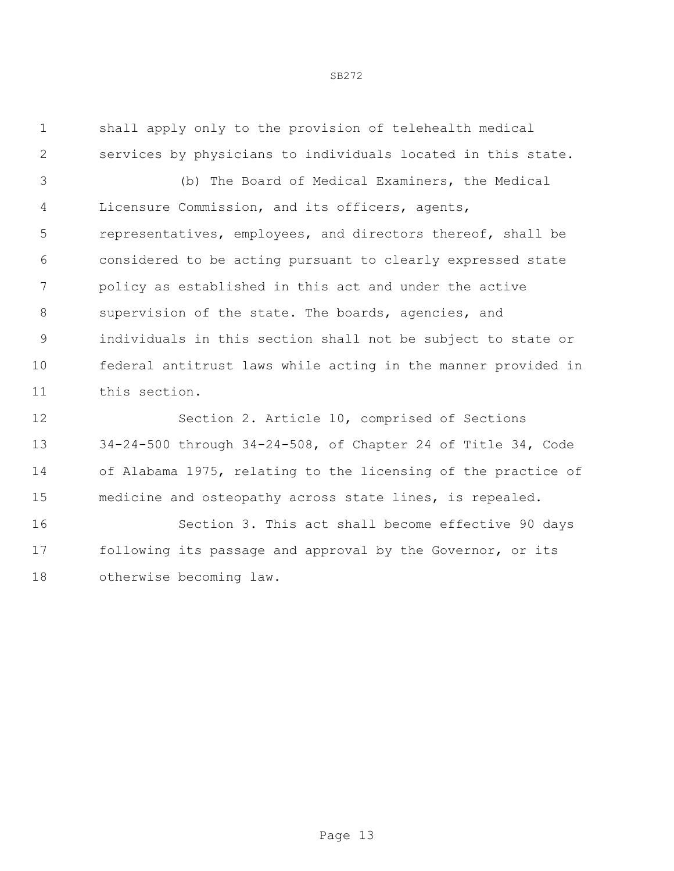shall apply only to the provision of telehealth medical services by physicians to individuals located in this state.

 (b) The Board of Medical Examiners, the Medical Licensure Commission, and its officers, agents, representatives, employees, and directors thereof, shall be considered to be acting pursuant to clearly expressed state policy as established in this act and under the active supervision of the state. The boards, agencies, and individuals in this section shall not be subject to state or federal antitrust laws while acting in the manner provided in this section.

 Section 2. Article 10, comprised of Sections 34-24-500 through 34-24-508, of Chapter 24 of Title 34, Code of Alabama 1975, relating to the licensing of the practice of medicine and osteopathy across state lines, is repealed.

 Section 3. This act shall become effective 90 days following its passage and approval by the Governor, or its otherwise becoming law.